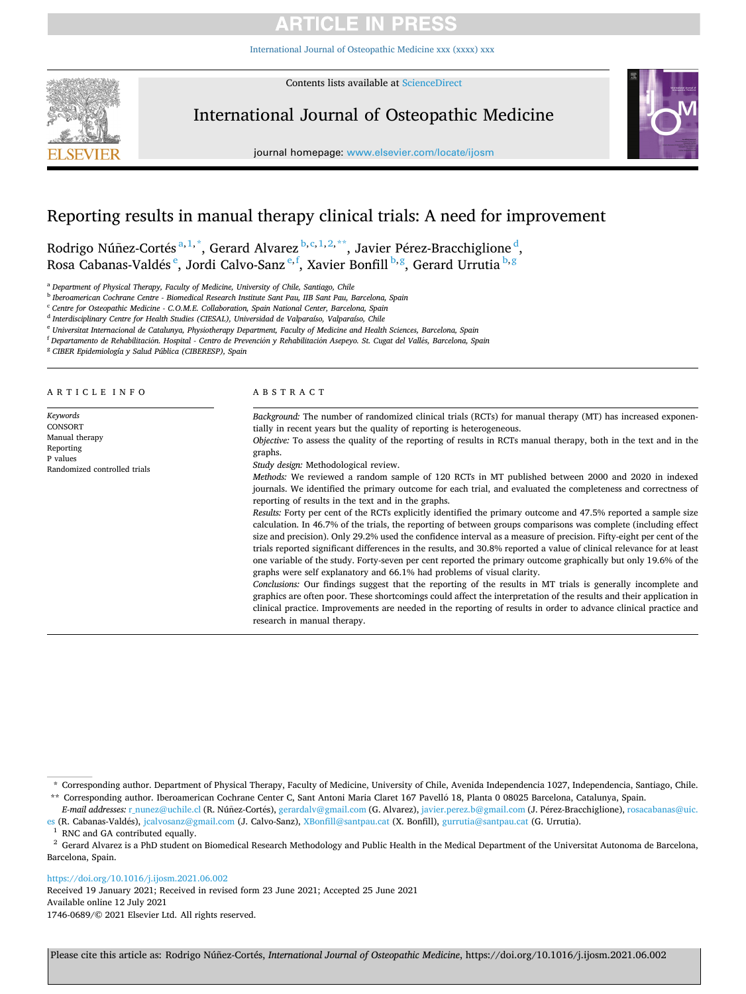# **ARTICLE IN PRESS**

[International Journal of Osteopathic Medicine xxx \(xxxx\) xxx](https://doi.org/10.1016/j.ijosm.2021.06.002)



Contents lists available at [ScienceDirect](www.sciencedirect.com/science/journal/17460689)

International Journal of Osteopathic Medicine



journal homepage: [www.elsevier.com/locate/ijosm](https://www.elsevier.com/locate/ijosm) 

# Reporting results in manual therapy clinical trials: A need for improvement

Rodrigo Núñez-Cortés<sup>a,1,\*</sup>, Gerard Alvarez <sup>b, c, 1,2,\*\*</sup>, Javier Pérez-Bracchiglione <sup>d</sup>, Rosa Cabanas-Valdés <sup>e</sup>, Jordi Calvo-Sanz <sup>e,f</sup>, Xavier Bonfill <sup>b,g</sup>, Gerard Urrutia <sup>b,g</sup>

<sup>a</sup> *Department of Physical Therapy, Faculty of Medicine, University of Chile, Santiago, Chile* 

<sup>b</sup> *Iberoamerican Cochrane Centre - Biomedical Research Institute Sant Pau, IIB Sant Pau, Barcelona, Spain* 

<sup>c</sup> *Centre for Osteopathic Medicine - C.O.M.E. Collaboration, Spain National Center, Barcelona, Spain* 

<sup>d</sup> *Interdisciplinary Centre for Health Studies (CIESAL), Universidad de Valparaíso, Valparaíso, Chile* 

<sup>e</sup> *Universitat Internacional de Catalunya, Physiotherapy Department, Faculty of Medicine and Health Sciences, Barcelona, Spain* 

<sup>f</sup> Departamento de Rehabilitación. Hospital - Centro de Prevención y Rehabilitación Asepeyo. St. Cugat del Vallés, Barcelona, Spain

<sup>g</sup> *CIBER Epidemiología y Salud Pública (CIBERESP), Spain* 

| A R T I C L E  I N F O                                                                         | A B S T R A C T                                                                                                                                                                                                                                                                                                                                                                                                                                                                                                                                                                                                                                                               |  |  |
|------------------------------------------------------------------------------------------------|-------------------------------------------------------------------------------------------------------------------------------------------------------------------------------------------------------------------------------------------------------------------------------------------------------------------------------------------------------------------------------------------------------------------------------------------------------------------------------------------------------------------------------------------------------------------------------------------------------------------------------------------------------------------------------|--|--|
| Keywords<br>CONSORT<br>Manual therapy<br>Reporting<br>P values<br>Randomized controlled trials | Background: The number of randomized clinical trials (RCTs) for manual therapy (MT) has increased exponen-<br>tially in recent years but the quality of reporting is heterogeneous.<br>Objective: To assess the quality of the reporting of results in RCTs manual therapy, both in the text and in the<br>graphs.<br>Study design: Methodological review.                                                                                                                                                                                                                                                                                                                    |  |  |
|                                                                                                | Methods: We reviewed a random sample of 120 RCTs in MT published between 2000 and 2020 in indexed<br>journals. We identified the primary outcome for each trial, and evaluated the completeness and correctness of<br>reporting of results in the text and in the graphs.                                                                                                                                                                                                                                                                                                                                                                                                     |  |  |
|                                                                                                | Results: Forty per cent of the RCTs explicitly identified the primary outcome and 47.5% reported a sample size<br>calculation. In 46.7% of the trials, the reporting of between groups comparisons was complete (including effect<br>size and precision). Only 29.2% used the confidence interval as a measure of precision. Fifty-eight per cent of the<br>trials reported significant differences in the results, and 30.8% reported a value of clinical relevance for at least<br>one variable of the study. Forty-seven per cent reported the primary outcome graphically but only 19.6% of the<br>graphs were self explanatory and 66.1% had problems of visual clarity. |  |  |
|                                                                                                | Conclusions: Our findings suggest that the reporting of the results in MT trials is generally incomplete and<br>graphics are often poor. These shortcomings could affect the interpretation of the results and their application in<br>clinical practice. Improvements are needed in the reporting of results in order to advance clinical practice and<br>research in manual therapy.                                                                                                                                                                                                                                                                                        |  |  |

<https://doi.org/10.1016/j.ijosm.2021.06.002>

Available online 12 July 2021 1746-0689/© 2021 Elsevier Ltd. All rights reserved. Received 19 January 2021; Received in revised form 23 June 2021; Accepted 25 June 2021

<sup>\*</sup> Corresponding author. Department of Physical Therapy, Faculty of Medicine, University of Chile, Avenida Independencia 1027, Independencia, Santiago, Chile. \*\* Corresponding author. Iberoamerican Cochrane Center C, Sant Antoni Maria Claret 167 Pavelló 18, Planta 0 08025 Barcelona, Catalunya, Spain.

*E-mail addresses:* [r\\_nunez@uchile.cl](mailto:r_nunez@uchile.cl) (R. Núñez-Cortés), [gerardalv@gmail.com](mailto:gerardalv@gmail.com) (G. Alvarez), [javier.perez.b@gmail.com](mailto:javier.perez.b@gmail.com) (J. Pérez-Bracchiglione), rosacabanas@uic.

[es](mailto:rosacabanas@uic.es) (R. Cabanas-Valdés), [jcalvosanz@gmail.com](mailto:jcalvosanz@gmail.com) (J. Calvo-Sanz), [XBonfill@santpau.cat](mailto:XBonfill@santpau.cat) (X. Bonfill), [gurrutia@santpau.cat](mailto:gurrutia@santpau.cat) (G. Urrutia).<br><sup>1</sup> RNC and GA contributed equally.<br><sup>2</sup> Gerard Alvarez is a PhD student on Biomedical Res Barcelona, Spain.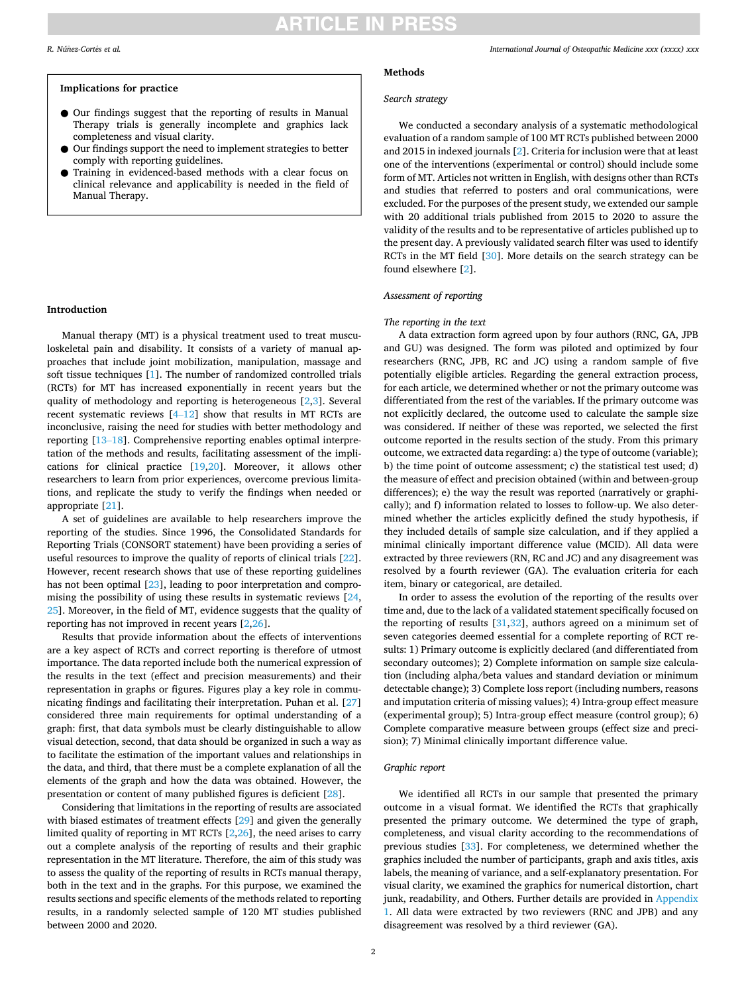# **RTICLE IN PRESS**

#### **Implications for practice**

- Our findings suggest that the reporting of results in Manual Therapy trials is generally incomplete and graphics lack completeness and visual clarity.
- Our findings support the need to implement strategies to better comply with reporting guidelines.
- Training in evidenced-based methods with a clear focus on clinical relevance and applicability is needed in the field of Manual Therapy.

### **Introduction**

Manual therapy (MT) is a physical treatment used to treat musculoskeletal pain and disability. It consists of a variety of manual approaches that include joint mobilization, manipulation, massage and soft tissue techniques [[1](#page-6-0)]. The number of randomized controlled trials (RCTs) for MT has increased exponentially in recent years but the quality of methodology and reporting is heterogeneous [\[2,3](#page-6-0)]. Several recent systematic reviews  $[4-12]$  $[4-12]$  show that results in MT RCTs are inconclusive, raising the need for studies with better methodology and reporting [\[13](#page-6-0)–18]. Comprehensive reporting enables optimal interpretation of the methods and results, facilitating assessment of the implications for clinical practice [\[19,20](#page-6-0)]. Moreover, it allows other researchers to learn from prior experiences, overcome previous limitations, and replicate the study to verify the findings when needed or appropriate [\[21](#page-6-0)].

A set of guidelines are available to help researchers improve the reporting of the studies. Since 1996, the Consolidated Standards for Reporting Trials (CONSORT statement) have been providing a series of useful resources to improve the quality of reports of clinical trials [\[22](#page-6-0)]. However, recent research shows that use of these reporting guidelines has not been optimal [\[23](#page-6-0)], leading to poor interpretation and compromising the possibility of using these results in systematic reviews [\[24](#page-6-0), [25\]](#page-6-0). Moreover, in the field of MT, evidence suggests that the quality of reporting has not improved in recent years [[2](#page-6-0),[26\]](#page-6-0).

Results that provide information about the effects of interventions are a key aspect of RCTs and correct reporting is therefore of utmost importance. The data reported include both the numerical expression of the results in the text (effect and precision measurements) and their representation in graphs or figures. Figures play a key role in communicating findings and facilitating their interpretation. Puhan et al. [\[27](#page-6-0)] considered three main requirements for optimal understanding of a graph: first, that data symbols must be clearly distinguishable to allow visual detection, second, that data should be organized in such a way as to facilitate the estimation of the important values and relationships in the data, and third, that there must be a complete explanation of all the elements of the graph and how the data was obtained. However, the presentation or content of many published figures is deficient [\[28](#page-6-0)].

Considering that limitations in the reporting of results are associated with biased estimates of treatment effects [[29\]](#page-6-0) and given the generally limited quality of reporting in MT RCTs [[2](#page-6-0),[26\]](#page-6-0), the need arises to carry out a complete analysis of the reporting of results and their graphic representation in the MT literature. Therefore, the aim of this study was to assess the quality of the reporting of results in RCTs manual therapy, both in the text and in the graphs. For this purpose, we examined the results sections and specific elements of the methods related to reporting results, in a randomly selected sample of 120 MT studies published between 2000 and 2020.

#### **Methods**

#### *Search strategy*

We conducted a secondary analysis of a systematic methodological evaluation of a random sample of 100 MT RCTs published between 2000 and 2015 in indexed journals [[2](#page-6-0)]. Criteria for inclusion were that at least one of the interventions (experimental or control) should include some form of MT. Articles not written in English, with designs other than RCTs and studies that referred to posters and oral communications, were excluded. For the purposes of the present study, we extended our sample with 20 additional trials published from 2015 to 2020 to assure the validity of the results and to be representative of articles published up to the present day. A previously validated search filter was used to identify RCTs in the MT field [[30\]](#page-6-0). More details on the search strategy can be found elsewhere [\[2\]](#page-6-0).

#### *Assessment of reporting*

# *The reporting in the text*

A data extraction form agreed upon by four authors (RNC, GA, JPB and GU) was designed. The form was piloted and optimized by four researchers (RNC, JPB, RC and JC) using a random sample of five potentially eligible articles. Regarding the general extraction process, for each article, we determined whether or not the primary outcome was differentiated from the rest of the variables. If the primary outcome was not explicitly declared, the outcome used to calculate the sample size was considered. If neither of these was reported, we selected the first outcome reported in the results section of the study. From this primary outcome, we extracted data regarding: a) the type of outcome (variable); b) the time point of outcome assessment; c) the statistical test used; d) the measure of effect and precision obtained (within and between-group differences); e) the way the result was reported (narratively or graphically); and f) information related to losses to follow-up. We also determined whether the articles explicitly defined the study hypothesis, if they included details of sample size calculation, and if they applied a minimal clinically important difference value (MCID). All data were extracted by three reviewers (RN, RC and JC) and any disagreement was resolved by a fourth reviewer (GA). The evaluation criteria for each item, binary or categorical, are detailed.

In order to assess the evolution of the reporting of the results over time and, due to the lack of a validated statement specifically focused on the reporting of results [\[31](#page-6-0)[,32](#page-7-0)], authors agreed on a minimum set of seven categories deemed essential for a complete reporting of RCT results: 1) Primary outcome is explicitly declared (and differentiated from secondary outcomes); 2) Complete information on sample size calculation (including alpha/beta values and standard deviation or minimum detectable change); 3) Complete loss report (including numbers, reasons and imputation criteria of missing values); 4) Intra-group effect measure (experimental group); 5) Intra-group effect measure (control group); 6) Complete comparative measure between groups (effect size and precision); 7) Minimal clinically important difference value.

## *Graphic report*

We identified all RCTs in our sample that presented the primary outcome in a visual format. We identified the RCTs that graphically presented the primary outcome. We determined the type of graph, completeness, and visual clarity according to the recommendations of previous studies [\[33](#page-7-0)]. For completeness, we determined whether the graphics included the number of participants, graph and axis titles, axis labels, the meaning of variance, and a self-explanatory presentation. For visual clarity, we examined the graphics for numerical distortion, chart junk, readability, and Others. Further details are provided in Appendix [1](#page-5-0). All data were extracted by two reviewers (RNC and JPB) and any disagreement was resolved by a third reviewer (GA).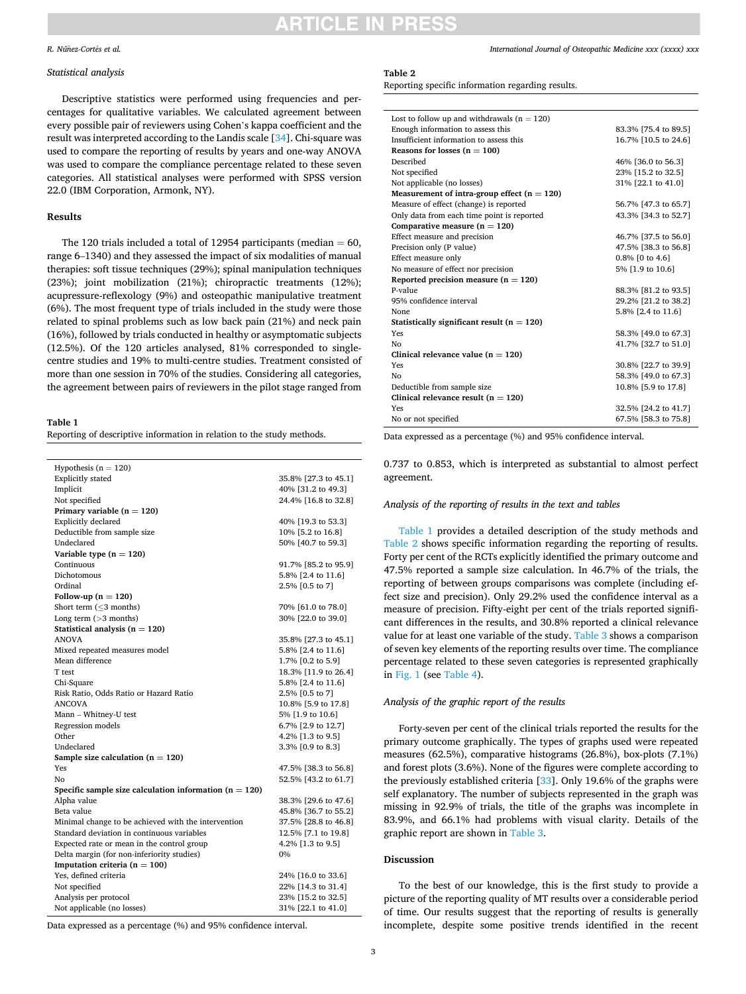#### <span id="page-2-0"></span>*R. Núñez-Cortés et al.*

#### *Statistical analysis*

Descriptive statistics were performed using frequencies and percentages for qualitative variables. We calculated agreement between every possible pair of reviewers using Cohen's kappa coefficient and the result was interpreted according to the Landis scale [[34\]](#page-7-0). Chi-square was used to compare the reporting of results by years and one-way ANOVA was used to compare the compliance percentage related to these seven categories. All statistical analyses were performed with SPSS version 22.0 (IBM Corporation, Armonk, NY).

# **Results**

The 120 trials included a total of 12954 participants (median  $= 60$ , range 6–1340) and they assessed the impact of six modalities of manual therapies: soft tissue techniques (29%); spinal manipulation techniques (23%); joint mobilization (21%); chiropractic treatments (12%); acupressure-reflexology (9%) and osteopathic manipulative treatment (6%). The most frequent type of trials included in the study were those related to spinal problems such as low back pain (21%) and neck pain (16%), followed by trials conducted in healthy or asymptomatic subjects (12.5%). Of the 120 articles analysed, 81% corresponded to singlecentre studies and 19% to multi-centre studies. Treatment consisted of more than one session in 70% of the studies. Considering all categories, the agreement between pairs of reviewers in the pilot stage ranged from

#### **Table 1**

Reporting of descriptive information in relation to the study methods.

| Hypothesis ( $n = 120$ )                                 |                      |  |  |
|----------------------------------------------------------|----------------------|--|--|
| <b>Explicitly</b> stated                                 | 35.8% [27.3 to 45.1] |  |  |
| Implicit                                                 | 40% [31.2 to 49.3]   |  |  |
| Not specified                                            | 24.4% [16.8 to 32.8] |  |  |
| Primary variable $(n = 120)$                             |                      |  |  |
| Explicitly declared                                      | 40% [19.3 to 53.3]   |  |  |
| Deductible from sample size                              | 10% [5.2 to 16.8]    |  |  |
| Undeclared                                               | 50% [40.7 to 59.3]   |  |  |
| Variable type $(n = 120)$                                |                      |  |  |
| Continuous                                               | 91.7% [85.2 to 95.9] |  |  |
| Dichotomous                                              | 5.8% [2.4 to 11.6]   |  |  |
| Ordinal                                                  | 2.5% [0.5 to 7]      |  |  |
| Follow-up $(n = 120)$                                    |                      |  |  |
| Short term $(\leq 3$ months)                             | 70% [61.0 to 78.0]   |  |  |
| Long term $($ >3 months)                                 | 30% [22.0 to 39.0]   |  |  |
| Statistical analysis ( $n = 120$ )                       |                      |  |  |
| <b>ANOVA</b>                                             | 35.8% [27.3 to 45.1] |  |  |
| Mixed repeated measures model                            | 5.8% [2.4 to 11.6]   |  |  |
| Mean difference                                          | 1.7% [0.2 to 5.9]    |  |  |
| T test                                                   | 18.3% [11.9 to 26.4] |  |  |
| Chi-Square                                               | 5.8% [2.4 to 11.6]   |  |  |
| Risk Ratio, Odds Ratio or Hazard Ratio                   | 2.5% [0.5 to 7]      |  |  |
| <b>ANCOVA</b>                                            | 10.8% [5.9 to 17.8]  |  |  |
| Mann - Whitney-U test                                    | 5% [1.9 to 10.6]     |  |  |
| Regression models                                        | 6.7% [2.9 to 12.7]   |  |  |
| Other                                                    | 4.2% [1.3 to 9.5]    |  |  |
| Undeclared                                               | 3.3% [0.9 to 8.3]    |  |  |
| Sample size calculation $(n = 120)$                      |                      |  |  |
| Yes                                                      | 47.5% [38.3 to 56.8] |  |  |
| No                                                       | 52.5% [43.2 to 61.7] |  |  |
| Specific sample size calculation information $(n = 120)$ |                      |  |  |
| Alpha value                                              | 38.3% [29.6 to 47.6] |  |  |
| Beta value                                               | 45.8% [36.7 to 55.2] |  |  |
| Minimal change to be achieved with the intervention      | 37.5% [28.8 to 46.8] |  |  |
| Standard deviation in continuous variables               | 12.5% [7.1 to 19.8]  |  |  |
| Expected rate or mean in the control group               | 4.2% [1.3 to 9.5]    |  |  |
| Delta margin (for non-inferiority studies)               | 0%                   |  |  |
| Imputation criteria ( $n = 100$ )                        |                      |  |  |
| Yes, defined criteria                                    | 24% [16.0 to 33.6]   |  |  |
| Not specified                                            | 22% [14.3 to 31.4]   |  |  |
| Analysis per protocol                                    | 23% [15.2 to 32.5]   |  |  |
| Not applicable (no losses)                               | 31% [22.1 to 41.0]   |  |  |

Data expressed as a percentage (%) and 95% confidence interval.

#### **Table 2**

Reporting specific information regarding results.

| Lost to follow up and withdrawals ( $n = 120$ ) |                      |
|-------------------------------------------------|----------------------|
| Enough information to assess this               | 83.3% [75.4 to 89.5] |
| Insufficient information to assess this         | 16.7% [10.5 to 24.6] |
| Reasons for losses $(n = 100)$                  |                      |
| Described                                       | 46% [36.0 to 56.3]   |
| Not specified                                   | 23% [15.2 to 32.5]   |
| Not applicable (no losses)                      | 31% [22.1 to 41.0]   |
| Measurement of intra-group effect $(n = 120)$   |                      |
| Measure of effect (change) is reported          | 56.7% [47.3 to 65.7] |
| Only data from each time point is reported      | 43.3% [34.3 to 52.7] |
| Comparative measure $(n = 120)$                 |                      |
| Effect measure and precision                    | 46.7% [37.5 to 56.0] |
| Precision only (P value)                        | 47.5% [38.3 to 56.8] |
| Effect measure only                             | 0.8% [0 to 4.6]      |
| No measure of effect nor precision              | 5% [1.9 to 10.6]     |
| Reported precision measure ( $n = 120$ )        |                      |
| P-value                                         | 88.3% [81.2 to 93.5] |
| 95% confidence interval                         | 29.2% [21.2 to 38.2] |
| <b>None</b>                                     | 5.8% [2.4 to 11.6]   |
| Statistically significant result ( $n = 120$ )  |                      |
| Yes                                             | 58.3% [49.0 to 67.3] |
| No                                              | 41.7% [32.7 to 51.0] |
| Clinical relevance value ( $n = 120$ )          |                      |
| Yes                                             | 30.8% [22.7 to 39.9] |
| Nο                                              | 58.3% [49.0 to 67.3] |
| Deductible from sample size                     | 10.8% [5.9 to 17.8]  |
| Clinical relevance result ( $n = 120$ )         |                      |
| Yes                                             | 32.5% [24.2 to 41.7] |
| No or not specified                             | 67.5% [58.3 to 75.8] |
|                                                 |                      |

Data expressed as a percentage (%) and 95% confidence interval.

0.737 to 0.853, which is interpreted as substantial to almost perfect agreement.

#### *Analysis of the reporting of results in the text and tables*

Table 1 provides a detailed description of the study methods and Table 2 shows specific information regarding the reporting of results. Forty per cent of the RCTs explicitly identified the primary outcome and 47.5% reported a sample size calculation. In 46.7% of the trials, the reporting of between groups comparisons was complete (including effect size and precision). Only 29.2% used the confidence interval as a measure of precision. Fifty-eight per cent of the trials reported significant differences in the results, and 30.8% reported a clinical relevance value for at least one variable of the study. [Table 3](#page-3-0) shows a comparison of seven key elements of the reporting results over time. The compliance percentage related to these seven categories is represented graphically in [Fig. 1](#page-3-0) (see [Table 4](#page-3-0)).

### *Analysis of the graphic report of the results*

Forty-seven per cent of the clinical trials reported the results for the primary outcome graphically. The types of graphs used were repeated measures (62.5%), comparative histograms (26.8%), box-plots (7.1%) and forest plots (3.6%). None of the figures were complete according to the previously established criteria [\[33](#page-7-0)]. Only 19.6% of the graphs were self explanatory. The number of subjects represented in the graph was missing in 92.9% of trials, the title of the graphs was incomplete in 83.9%, and 66.1% had problems with visual clarity. Details of the graphic report are shown in [Table 3.](#page-3-0)

# **Discussion**

To the best of our knowledge, this is the first study to provide a picture of the reporting quality of MT results over a considerable period of time. Our results suggest that the reporting of results is generally incomplete, despite some positive trends identified in the recent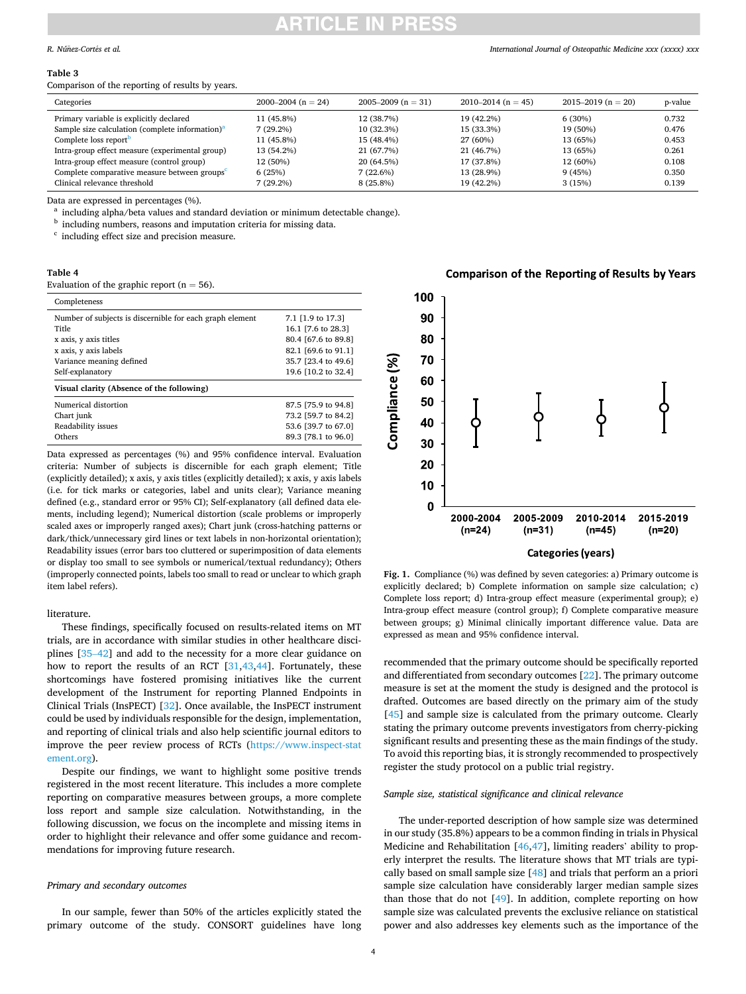# TICLE IN PRE

### <span id="page-3-0"></span>*R. Núñez-Cortés et al.*

#### **Table 3**

Comparison of the reporting of results by years.

| Categories                                                  | $2000-2004$ (n = 24) | 2005–2009 ( $n = 31$ ) | $2010 - 2014$ (n = 45) | $2015 - 2019$ (n = 20) | p-value |
|-------------------------------------------------------------|----------------------|------------------------|------------------------|------------------------|---------|
| Primary variable is explicitly declared                     | 11 (45.8%)           | 12 (38.7%)             | 19 (42.2%)             | 6(30%)                 | 0.732   |
| Sample size calculation (complete information) <sup>a</sup> | 7 (29.2%)            | 10(32.3%)              | 15 (33.3%)             | 19 (50%)               | 0.476   |
| Complete loss report <sup>b</sup>                           | 11 (45.8%)           | 15 (48.4%)             | 27 (60%)               | 13 (65%)               | 0.453   |
| Intra-group effect measure (experimental group)             | 13 (54.2%)           | 21 (67.7%)             | 21 (46.7%)             | 13 (65%)               | 0.261   |
| Intra-group effect measure (control group)                  | 12 (50%)             | 20 (64.5%)             | 17 (37.8%)             | 12 (60%)               | 0.108   |
| Complete comparative measure between groups <sup>c</sup>    | 6(25%)               | 7(22.6%)               | 13 (28.9%)             | 9(45%)                 | 0.350   |
| Clinical relevance threshold                                | 7 (29.2%)            | $8(25.8\%)$            | 19 (42.2%)             | 3(15%)                 | 0.139   |

Data are expressed in percentages (%).<br>
<sup>a</sup> including alpha/beta values and standard deviation or minimum detectable change).<br>
<sup>b</sup> including numbers, reasons and imputation criteria for missing data.<br>
<sup>c</sup> including effect

# **Table 4**

Evaluation of the graphic report  $(n = 56)$ .

| Completeness                                             |                     |
|----------------------------------------------------------|---------------------|
| Number of subjects is discernible for each graph element | 7.1 [1.9 to 17.3]   |
| Title                                                    | 16.1 [7.6 to 28.3]  |
| x axis, y axis titles                                    | 80.4 [67.6 to 89.8] |
| x axis, y axis labels                                    | 82.1 [69.6 to 91.1] |
| Variance meaning defined                                 | 35.7 [23.4 to 49.6] |
| Self-explanatory                                         | 19.6 [10.2 to 32.4] |
| Visual clarity (Absence of the following)                |                     |
| Numerical distortion                                     | 87.5 [75.9 to 94.8] |
| Chart junk                                               | 73.2 [59.7 to 84.2] |
| Readability issues                                       | 53.6 [39.7 to 67.0] |
| Others                                                   | 89.3 [78.1 to 96.0] |

Data expressed as percentages (%) and 95% confidence interval. Evaluation criteria: Number of subjects is discernible for each graph element; Title (explicitly detailed); x axis, y axis titles (explicitly detailed); x axis, y axis labels (i.e. for tick marks or categories, label and units clear); Variance meaning defined (e.g., standard error or 95% CI); Self-explanatory (all defined data elements, including legend); Numerical distortion (scale problems or improperly scaled axes or improperly ranged axes); Chart junk (cross-hatching patterns or dark/thick/unnecessary gird lines or text labels in non-horizontal orientation); Readability issues (error bars too cluttered or superimposition of data elements or display too small to see symbols or numerical/textual redundancy); Others (improperly connected points, labels too small to read or unclear to which graph item label refers).

#### literature.

These findings, specifically focused on results-related items on MT trials, are in accordance with similar studies in other healthcare disciplines [35–[42\]](#page-7-0) and add to the necessity for a more clear guidance on how to report the results of an RCT [\[31](#page-6-0)[,43](#page-7-0),[44\]](#page-7-0). Fortunately, these shortcomings have fostered promising initiatives like the current development of the Instrument for reporting Planned Endpoints in Clinical Trials (InsPECT) [[32\]](#page-7-0). Once available, the InsPECT instrument could be used by individuals responsible for the design, implementation, and reporting of clinical trials and also help scientific journal editors to improve the peer review process of RCTs ([https://www.inspect-stat](https://www.inspect-statement.org)  [ement.org](https://www.inspect-statement.org)).

Despite our findings, we want to highlight some positive trends registered in the most recent literature. This includes a more complete reporting on comparative measures between groups, a more complete loss report and sample size calculation. Notwithstanding, in the following discussion, we focus on the incomplete and missing items in order to highlight their relevance and offer some guidance and recommendations for improving future research.

### *Primary and secondary outcomes*

In our sample, fewer than 50% of the articles explicitly stated the primary outcome of the study. CONSORT guidelines have long

# **Comparison of the Reporting of Results by Years**



**Fig. 1.** Compliance (%) was defined by seven categories: a) Primary outcome is explicitly declared; b) Complete information on sample size calculation; c) Complete loss report; d) Intra-group effect measure (experimental group); e) Intra-group effect measure (control group); f) Complete comparative measure between groups; g) Minimal clinically important difference value. Data are expressed as mean and 95% confidence interval.

recommended that the primary outcome should be specifically reported and differentiated from secondary outcomes [[22\]](#page-6-0). The primary outcome measure is set at the moment the study is designed and the protocol is drafted. Outcomes are based directly on the primary aim of the study [[45\]](#page-7-0) and sample size is calculated from the primary outcome. Clearly stating the primary outcome prevents investigators from cherry-picking significant results and presenting these as the main findings of the study. To avoid this reporting bias, it is strongly recommended to prospectively register the study protocol on a public trial registry.

# *Sample size, statistical significance and clinical relevance*

The under-reported description of how sample size was determined in our study (35.8%) appears to be a common finding in trials in Physical Medicine and Rehabilitation [[46,47\]](#page-7-0), limiting readers' ability to properly interpret the results. The literature shows that MT trials are typically based on small sample size [[48\]](#page-7-0) and trials that perform an a priori sample size calculation have considerably larger median sample sizes than those that do not [\[49](#page-7-0)]. In addition, complete reporting on how sample size was calculated prevents the exclusive reliance on statistical power and also addresses key elements such as the importance of the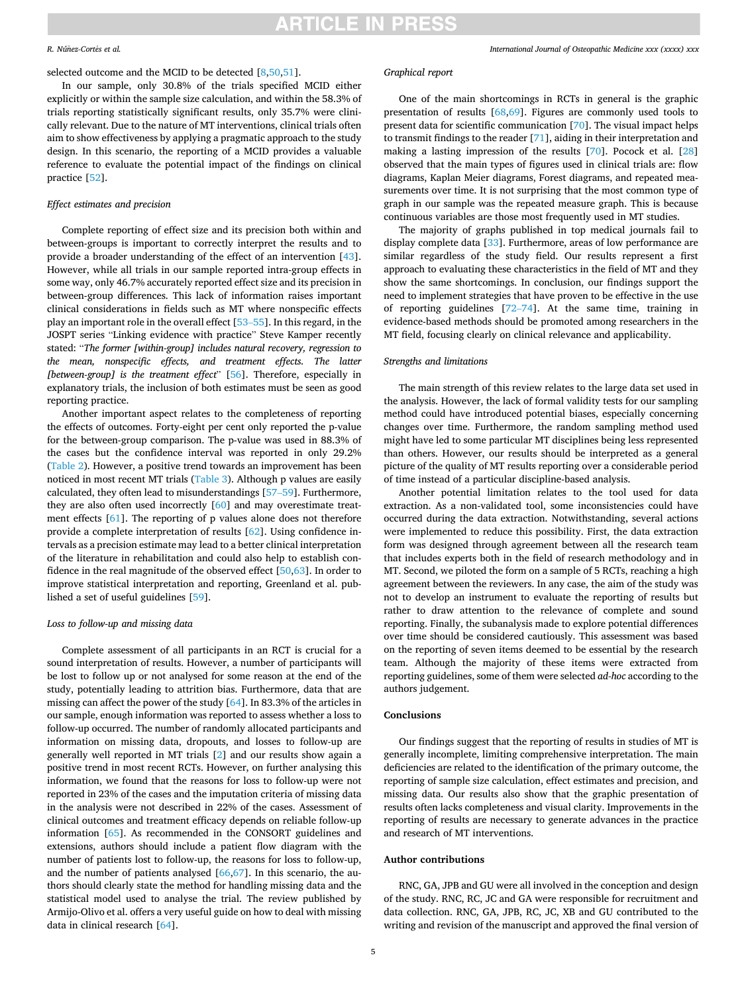# **ARTICLE IN PRESS**

#### *R. Núñez-Cortés et al.*

selected outcome and the MCID to be detected [\[8,](#page-6-0)[50,51](#page-7-0)].

In our sample, only 30.8% of the trials specified MCID either explicitly or within the sample size calculation, and within the 58.3% of trials reporting statistically significant results, only 35.7% were clinically relevant. Due to the nature of MT interventions, clinical trials often aim to show effectiveness by applying a pragmatic approach to the study design. In this scenario, the reporting of a MCID provides a valuable reference to evaluate the potential impact of the findings on clinical practice [\[52](#page-7-0)].

# *Effect estimates and precision*

Complete reporting of effect size and its precision both within and between-groups is important to correctly interpret the results and to provide a broader understanding of the effect of an intervention [\[43](#page-7-0)]. However, while all trials in our sample reported intra-group effects in some way, only 46.7% accurately reported effect size and its precision in between-group differences. This lack of information raises important clinical considerations in fields such as MT where nonspecific effects play an important role in the overall effect [\[53](#page-7-0)–55]. In this regard, in the JOSPT series "Linking evidence with practice" Steve Kamper recently stated: "*The former [within-group] includes natural recovery, regression to the mean, nonspecific effects, and treatment effects. The latter [between-group] is the treatment effect*" [[56\]](#page-7-0). Therefore, especially in explanatory trials, the inclusion of both estimates must be seen as good reporting practice.

Another important aspect relates to the completeness of reporting the effects of outcomes. Forty-eight per cent only reported the p-value for the between-group comparison. The p-value was used in 88.3% of the cases but the confidence interval was reported in only 29.2% ([Table 2\)](#page-2-0). However, a positive trend towards an improvement has been noticed in most recent MT trials [\(Table 3\)](#page-3-0). Although p values are easily calculated, they often lead to misunderstandings [57–[59](#page-7-0)]. Furthermore, they are also often used incorrectly [[60\]](#page-7-0) and may overestimate treatment effects [[61\]](#page-7-0). The reporting of p values alone does not therefore provide a complete interpretation of results [[62\]](#page-7-0). Using confidence intervals as a precision estimate may lead to a better clinical interpretation of the literature in rehabilitation and could also help to establish confidence in the real magnitude of the observed effect [\[50](#page-7-0),[63\]](#page-7-0). In order to improve statistical interpretation and reporting, Greenland et al. published a set of useful guidelines [\[59](#page-7-0)].

# *Loss to follow-up and missing data*

Complete assessment of all participants in an RCT is crucial for a sound interpretation of results. However, a number of participants will be lost to follow up or not analysed for some reason at the end of the study, potentially leading to attrition bias. Furthermore, data that are missing can affect the power of the study [[64\]](#page-7-0). In 83.3% of the articles in our sample, enough information was reported to assess whether a loss to follow-up occurred. The number of randomly allocated participants and information on missing data, dropouts, and losses to follow-up are generally well reported in MT trials [\[2\]](#page-6-0) and our results show again a positive trend in most recent RCTs. However, on further analysing this information, we found that the reasons for loss to follow-up were not reported in 23% of the cases and the imputation criteria of missing data in the analysis were not described in 22% of the cases. Assessment of clinical outcomes and treatment efficacy depends on reliable follow-up information [\[65](#page-7-0)]. As recommended in the CONSORT guidelines and extensions, authors should include a patient flow diagram with the number of patients lost to follow-up, the reasons for loss to follow-up, and the number of patients analysed [\[66,67](#page-7-0)]. In this scenario, the authors should clearly state the method for handling missing data and the statistical model used to analyse the trial. The review published by Armijo-Olivo et al. offers a very useful guide on how to deal with missing data in clinical research [[64\]](#page-7-0).

# *Graphical report*

One of the main shortcomings in RCTs in general is the graphic presentation of results [\[68,69](#page-7-0)]. Figures are commonly used tools to present data for scientific communication [\[70](#page-7-0)]. The visual impact helps to transmit findings to the reader [\[71](#page-7-0)], aiding in their interpretation and making a lasting impression of the results [\[70](#page-7-0)]. Pocock et al. [\[28](#page-6-0)] observed that the main types of figures used in clinical trials are: flow diagrams, Kaplan Meier diagrams, Forest diagrams, and repeated measurements over time. It is not surprising that the most common type of graph in our sample was the repeated measure graph. This is because continuous variables are those most frequently used in MT studies.

The majority of graphs published in top medical journals fail to display complete data [\[33](#page-7-0)]. Furthermore, areas of low performance are similar regardless of the study field. Our results represent a first approach to evaluating these characteristics in the field of MT and they show the same shortcomings. In conclusion, our findings support the need to implement strategies that have proven to be effective in the use of reporting guidelines [72–[74\]](#page-7-0). At the same time, training in evidence-based methods should be promoted among researchers in the MT field, focusing clearly on clinical relevance and applicability.

# *Strengths and limitations*

The main strength of this review relates to the large data set used in the analysis. However, the lack of formal validity tests for our sampling method could have introduced potential biases, especially concerning changes over time. Furthermore, the random sampling method used might have led to some particular MT disciplines being less represented than others. However, our results should be interpreted as a general picture of the quality of MT results reporting over a considerable period of time instead of a particular discipline-based analysis.

Another potential limitation relates to the tool used for data extraction. As a non-validated tool, some inconsistencies could have occurred during the data extraction. Notwithstanding, several actions were implemented to reduce this possibility. First, the data extraction form was designed through agreement between all the research team that includes experts both in the field of research methodology and in MT. Second, we piloted the form on a sample of 5 RCTs, reaching a high agreement between the reviewers. In any case, the aim of the study was not to develop an instrument to evaluate the reporting of results but rather to draw attention to the relevance of complete and sound reporting. Finally, the subanalysis made to explore potential differences over time should be considered cautiously. This assessment was based on the reporting of seven items deemed to be essential by the research team. Although the majority of these items were extracted from reporting guidelines, some of them were selected *ad-hoc* according to the authors judgement.

# **Conclusions**

Our findings suggest that the reporting of results in studies of MT is generally incomplete, limiting comprehensive interpretation. The main deficiencies are related to the identification of the primary outcome, the reporting of sample size calculation, effect estimates and precision, and missing data. Our results also show that the graphic presentation of results often lacks completeness and visual clarity. Improvements in the reporting of results are necessary to generate advances in the practice and research of MT interventions.

# **Author contributions**

RNC, GA, JPB and GU were all involved in the conception and design of the study. RNC, RC, JC and GA were responsible for recruitment and data collection. RNC, GA, JPB, RC, JC, XB and GU contributed to the writing and revision of the manuscript and approved the final version of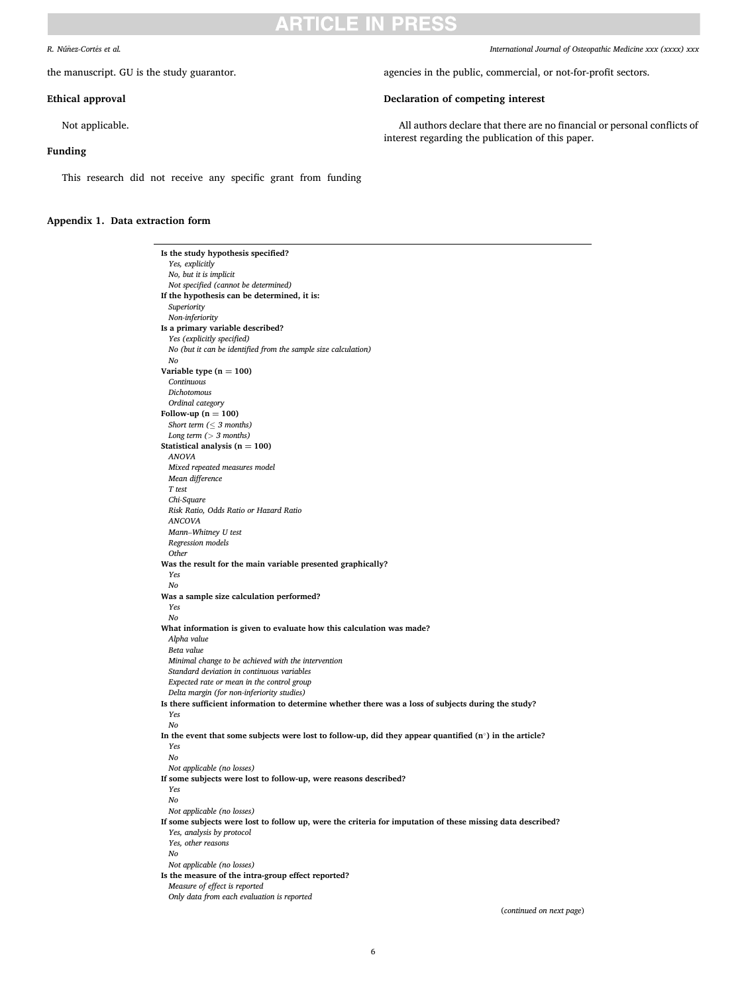# ARTICI F IN PRFS

#### <span id="page-5-0"></span> $R.$  *Núñez-Cortés et al.*

the manuscript. GU is the study guarantor.

### **Ethical approval**

Not applicable.

### **Funding**

This research did not receive any specific grant from funding

#### **Appendix 1. Data extraction form**

**Is the study hypothesis specified?**  *Yes, explicitly No, but it is implicit Not specified (cannot be determined)*  **If the hypothesis can be determined, it is:**  *Superiority Non-inferiority*  **Is a primary variable described?**  *Yes (explicitly specified) No (but it can be identified from the sample size calculation) No*  **Variable type**  $(n = 100)$ *Continuous Dichotomous Ordinal category*  Follow-up  $(n = 100)$ *Short term (*≤ *3 months) Long term (> 3 months)*  **Statistical analysis (** $n = 100$ **)** *ANOVA Mixed repeated measures model Mean difference T test Chi-Square Risk Ratio, Odds Ratio or Hazard Ratio ANCOVA Mann*–*Whitney U test Regression models Other*  **Was the result for the main variable presented graphically?**  *Yes No*  **Was a sample size calculation performed?**  *Yes No*  **What information is given to evaluate how this calculation was made?**  *Alpha value Beta value Minimal change to be achieved with the intervention Standard deviation in continuous variables Expected rate or mean in the control group Delta margin (for non-inferiority studies)*  **Is there sufficient information to determine whether there was a loss of subjects during the study?**  *Yes No*  **In the event that some subjects were lost to follow-up, did they appear quantified (n**◦**) in the article?**  *Yes No Not applicable (no losses)*  **If some subjects were lost to follow-up, were reasons described?**  *Yes No Not applicable (no losses)*  **If some subjects were lost to follow up, were the criteria for imputation of these missing data described?**  *Yes, analysis by protocol Yes, other reasons No Not applicable (no losses)*  **Is the measure of the intra-group effect reported?**  *Measure of effect is reported Only data from each evaluation is reported* 

*International Journal of Osteopathic Medicine xxx (xxxx) xxx*

agencies in the public, commercial, or not-for-profit sectors.

### **Declaration of competing interest**

All authors declare that there are no financial or personal conflicts of interest regarding the publication of this paper.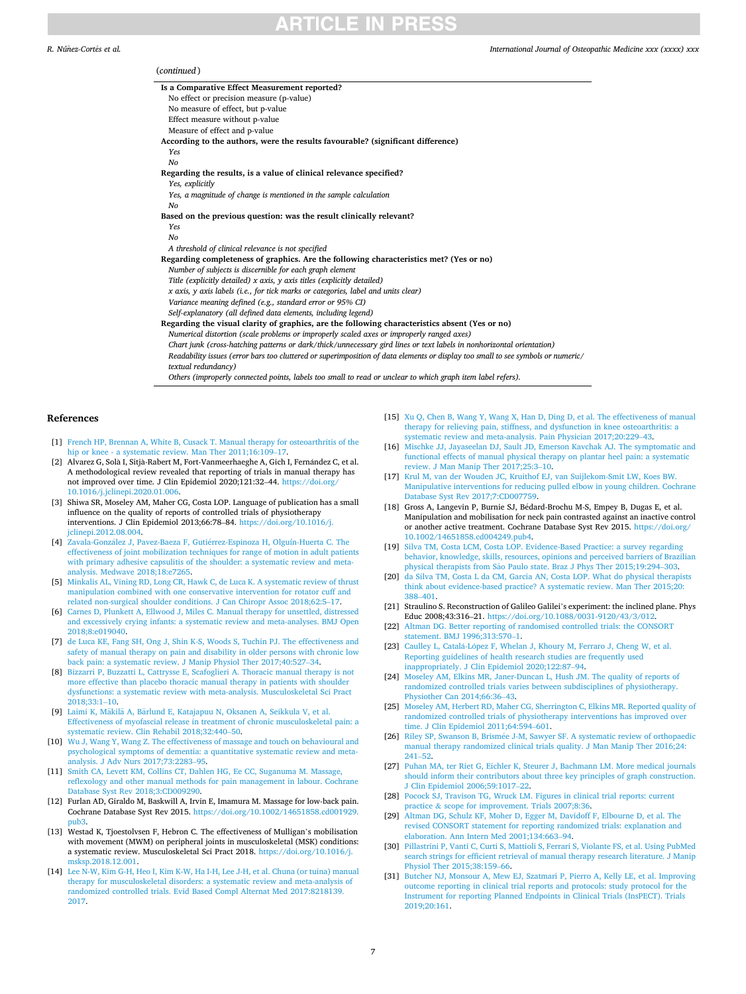# **TICLE IN PRESS**

#### <span id="page-6-0"></span>*R. Núñez-Cortés et al.*

#### *International Journal of Osteopathic Medicine xxx (xxxx) xxx*

| (continued)                                                                                                                      |  |
|----------------------------------------------------------------------------------------------------------------------------------|--|
| Is a Comparative Effect Measurement reported?                                                                                    |  |
| No effect or precision measure (p-value)                                                                                         |  |
| No measure of effect, but p-value                                                                                                |  |
| Effect measure without p-value                                                                                                   |  |
| Measure of effect and p-value                                                                                                    |  |
| According to the authors, were the results favourable? (significant difference)                                                  |  |
| Yes                                                                                                                              |  |
| No                                                                                                                               |  |
| Regarding the results, is a value of clinical relevance specified?                                                               |  |
| Yes, explicitly                                                                                                                  |  |
| Yes, a magnitude of change is mentioned in the sample calculation                                                                |  |
| No                                                                                                                               |  |
| Based on the previous question: was the result clinically relevant?                                                              |  |
| Yes                                                                                                                              |  |
| No                                                                                                                               |  |
| A threshold of clinical relevance is not specified                                                                               |  |
| Regarding completeness of graphics. Are the following characteristics met? (Yes or no)                                           |  |
| Number of subjects is discernible for each graph element                                                                         |  |
| Title (explicitly detailed) x axis, y axis titles (explicitly detailed)                                                          |  |
| x axis, y axis labels (i.e., for tick marks or categories, label and units clear)                                                |  |
| Variance meaning defined (e.g., standard error or 95% CI)                                                                        |  |
| Self-explanatory (all defined data elements, including legend)                                                                   |  |
| Regarding the visual clarity of graphics, are the following characteristics absent (Yes or no)                                   |  |
| Numerical distortion (scale problems or improperly scaled axes or improperly ranged axes)                                        |  |
| Chart junk (cross-hatching patterns or dark/thick/unnecessary gird lines or text labels in nonhorizontal orientation)            |  |
| Readability issues (error bars too cluttered or superimposition of data elements or display too small to see symbols or numeric/ |  |
| textual redundancy)                                                                                                              |  |
| Others (improperly connected points, labels too small to read or unclear to which graph item label refers).                      |  |

#### **References**

- [1] [French HP, Brennan A, White B, Cusack T. Manual therapy for osteoarthritis of the](http://refhub.elsevier.com/S1746-0689(21)00057-2/sref1)  hip or knee - a systematic review. Man Ther 2011:16:109-17
- [2] Alvarez G, Solà I, Sitjà-Rabert M, Fort-Vanmeerhaeghe A, Gich I, Fernández C, et al. A methodological review revealed that reporting of trials in manual therapy has not improved over time. J Clin Epidemiol 2020;121:32–44. [https://doi.org/](https://doi.org/10.1016/j.jclinepi.2020.01.006)  [10.1016/j.jclinepi.2020.01.006.](https://doi.org/10.1016/j.jclinepi.2020.01.006)
- [3] Shiwa SR, Moseley AM, Maher CG, Costa LOP. Language of publication has a small influence on the quality of reports of controlled trials of physiotherapy interventions. J Clin Epidemiol 2013;66:78–84. [https://doi.org/10.1016/j.](https://doi.org/10.1016/j.jclinepi.2012.08.004)  [jclinepi.2012.08.004.](https://doi.org/10.1016/j.jclinepi.2012.08.004)
- [4] Zavala-González J, Pavez-Baeza F, Gutiérrez-Espinoza H, Olguín-Huerta C. The [effectiveness of joint mobilization techniques for range of motion in adult patients](http://refhub.elsevier.com/S1746-0689(21)00057-2/sref4)  [with primary adhesive capsulitis of the shoulder: a systematic review and meta](http://refhub.elsevier.com/S1746-0689(21)00057-2/sref4)[analysis. Medwave 2018;18:e7265](http://refhub.elsevier.com/S1746-0689(21)00057-2/sref4).
- [5] [Minkalis AL, Vining RD, Long CR, Hawk C, de Luca K. A systematic review of thrust](http://refhub.elsevier.com/S1746-0689(21)00057-2/sref5)  [manipulation combined with one conservative intervention for rotator cuff and](http://refhub.elsevier.com/S1746-0689(21)00057-2/sref5) [related non-surgical shoulder conditions. J Can Chiropr Assoc 2018;62:5](http://refhub.elsevier.com/S1746-0689(21)00057-2/sref5)–17.
- [6] [Carnes D, Plunkett A, Ellwood J, Miles C. Manual therapy for unsettled, distressed](http://refhub.elsevier.com/S1746-0689(21)00057-2/sref6)  [and excessively crying infants: a systematic review and meta-analyses. BMJ Open](http://refhub.elsevier.com/S1746-0689(21)00057-2/sref6)  [2018;8:e019040](http://refhub.elsevier.com/S1746-0689(21)00057-2/sref6).
- [7] [de Luca KE, Fang SH, Ong J, Shin K-S, Woods S, Tuchin PJ. The effectiveness and](http://refhub.elsevier.com/S1746-0689(21)00057-2/sref7)  [safety of manual therapy on pain and disability in older persons with chronic low](http://refhub.elsevier.com/S1746-0689(21)00057-2/sref7)  [back pain: a systematic review. J Manip Physiol Ther 2017;40:527](http://refhub.elsevier.com/S1746-0689(21)00057-2/sref7)–34.
- [8] [Bizzarri P, Buzzatti L, Cattrysse E, Scafoglieri A. Thoracic manual therapy is not](http://refhub.elsevier.com/S1746-0689(21)00057-2/sref8)  [more effective than placebo thoracic manual therapy in patients with shoulder](http://refhub.elsevier.com/S1746-0689(21)00057-2/sref8)  [dysfunctions: a systematic review with meta-analysis. Musculoskeletal Sci Pract](http://refhub.elsevier.com/S1746-0689(21)00057-2/sref8)  [2018;33:1](http://refhub.elsevier.com/S1746-0689(21)00057-2/sref8)–10.
- [9] Laimi K, Mäkilä A, Bärlund E, Katajapuu N, Oksanen A, Seikkula V, et al. [Effectiveness of myofascial release in treatment of chronic musculoskeletal pain: a](http://refhub.elsevier.com/S1746-0689(21)00057-2/sref9)  [systematic review. Clin Rehabil 2018;32:440](http://refhub.elsevier.com/S1746-0689(21)00057-2/sref9)–50.
- [10] [Wu J, Wang Y, Wang Z. The effectiveness of massage and touch on behavioural and](http://refhub.elsevier.com/S1746-0689(21)00057-2/sref10)  [psychological symptoms of dementia: a quantitative systematic review and meta](http://refhub.elsevier.com/S1746-0689(21)00057-2/sref10)[analysis. J Adv Nurs 2017;73:2283](http://refhub.elsevier.com/S1746-0689(21)00057-2/sref10)–95.
- [11] Smith CA, Levett KM, Collins CT, Dahlen HG, Ee CC, Suganuma M. Massage, [reflexology and other manual methods for pain management in labour. Cochrane](http://refhub.elsevier.com/S1746-0689(21)00057-2/sref11) [Database Syst Rev 2018;3:CD009290.](http://refhub.elsevier.com/S1746-0689(21)00057-2/sref11)
- [12] Furlan AD, Giraldo M, Baskwill A, Irvin E, Imamura M. Massage for low-back pain. Cochrane Database Syst Rev 2015. [https://doi.org/10.1002/14651858.cd001929.](https://doi.org/10.1002/14651858.cd001929.pub3)  [pub3](https://doi.org/10.1002/14651858.cd001929.pub3).
- [13] Westad K, Tjoestolvsen F, Hebron C. The effectiveness of Mulligan's mobilisation with movement (MWM) on peripheral joints in musculoskeletal (MSK) conditions: a systematic review. Musculoskeletal Sci Pract 2018. [https://doi.org/10.1016/j.](https://doi.org/10.1016/j.msksp.2018.12.001) [msksp.2018.12.001](https://doi.org/10.1016/j.msksp.2018.12.001).
- [14] [Lee N-W, Kim G-H, Heo I, Kim K-W, Ha I-H, Lee J-H, et al. Chuna \(or tuina\) manual](http://refhub.elsevier.com/S1746-0689(21)00057-2/sref14)  [therapy for musculoskeletal disorders: a systematic review and meta-analysis of](http://refhub.elsevier.com/S1746-0689(21)00057-2/sref14)  [randomized controlled trials. Evid Based Compl Alternat Med 2017:8218139.](http://refhub.elsevier.com/S1746-0689(21)00057-2/sref14) [2017.](http://refhub.elsevier.com/S1746-0689(21)00057-2/sref14)
- [15] [Xu Q, Chen B, Wang Y, Wang X, Han D, Ding D, et al. The effectiveness of manual](http://refhub.elsevier.com/S1746-0689(21)00057-2/sref15)  [therapy for relieving pain, stiffness, and dysfunction in knee osteoarthritis: a](http://refhub.elsevier.com/S1746-0689(21)00057-2/sref15) [systematic review and meta-analysis. Pain Physician 2017;20:229](http://refhub.elsevier.com/S1746-0689(21)00057-2/sref15)–43.
- [16] Mischke JJ, Jayaseelan DJ, Sault JD, Emerson Kavchak AJ. The symptomatic and [functional effects of manual physical therapy on plantar heel pain: a systematic](http://refhub.elsevier.com/S1746-0689(21)00057-2/sref16)  [review. J Man Manip Ther 2017;25:3](http://refhub.elsevier.com/S1746-0689(21)00057-2/sref16)–10.
- [17] [Krul M, van der Wouden JC, Kruithof EJ, van Suijlekom-Smit LW, Koes BW.](http://refhub.elsevier.com/S1746-0689(21)00057-2/sref17)  [Manipulative interventions for reducing pulled elbow in young children. Cochrane](http://refhub.elsevier.com/S1746-0689(21)00057-2/sref17)  [Database Syst Rev 2017;7:CD007759.](http://refhub.elsevier.com/S1746-0689(21)00057-2/sref17)
- [18] Gross A, Langevin P, Burnie SJ, Bédard-Brochu M-S, Empey B, Dugas E, et al. Manipulation and mobilisation for neck pain contrasted against an inactive control or another active treatment. Cochrane Database Syst Rev 2015. [https://doi.org/](https://doi.org/10.1002/14651858.cd004249.pub4)  [10.1002/14651858.cd004249.pub4](https://doi.org/10.1002/14651858.cd004249.pub4).
- [19] [Silva TM, Costa LCM, Costa LOP. Evidence-Based Practice: a survey regarding](http://refhub.elsevier.com/S1746-0689(21)00057-2/sref19)  [behavior, knowledge, skills, resources, opinions and perceived barriers of Brazilian](http://refhub.elsevier.com/S1746-0689(21)00057-2/sref19)  physical therapists from São [Paulo state. Braz J Phys Ther 2015;19:294](http://refhub.elsevier.com/S1746-0689(21)00057-2/sref19)-303.
- [20] [da Silva TM, Costa L da CM, Garcia AN, Costa LOP. What do physical therapists](http://refhub.elsevier.com/S1746-0689(21)00057-2/sref20) [think about evidence-based practice? A systematic review. Man Ther 2015;20:](http://refhub.elsevier.com/S1746-0689(21)00057-2/sref20)  388–[401.](http://refhub.elsevier.com/S1746-0689(21)00057-2/sref20)
- [21] Straulino S. Reconstruction of Galileo Galilei's experiment: the inclined plane. Phys Educ 2008;43:316–21. [https://doi.org/10.1088/0031-9120/43/3/012.](https://doi.org/10.1088/0031-9120/43/3/012)
- [22] [Altman DG. Better reporting of randomised controlled trials: the CONSORT](http://refhub.elsevier.com/S1746-0689(21)00057-2/sref22) [statement. BMJ 1996;313:570](http://refhub.elsevier.com/S1746-0689(21)00057-2/sref22)–1.
- [23] Caulley L, Catalá-López [F, Whelan J, Khoury M, Ferraro J, Cheng W, et al.](http://refhub.elsevier.com/S1746-0689(21)00057-2/sref23) [Reporting guidelines of health research studies are frequently used](http://refhub.elsevier.com/S1746-0689(21)00057-2/sref23)  [inappropriately. J Clin Epidemiol 2020;122:87](http://refhub.elsevier.com/S1746-0689(21)00057-2/sref23)–94.
- [24] Moseley AM, Elkins MR, Janer-Duncan L, Hush JM, The quality of reports of [randomized controlled trials varies between subdisciplines of physiotherapy.](http://refhub.elsevier.com/S1746-0689(21)00057-2/sref24)  [Physiother Can 2014;66:36](http://refhub.elsevier.com/S1746-0689(21)00057-2/sref24)–43.
- [25] [Moseley AM, Herbert RD, Maher CG, Sherrington C, Elkins MR. Reported quality of](http://refhub.elsevier.com/S1746-0689(21)00057-2/sref25)  [randomized controlled trials of physiotherapy interventions has improved over](http://refhub.elsevier.com/S1746-0689(21)00057-2/sref25) [time. J Clin Epidemiol 2011;64:594](http://refhub.elsevier.com/S1746-0689(21)00057-2/sref25)–601.
- [26] Riley SP, Swanson B, Brismée J-M, Sawyer SF. A systematic review of orthopaedic [manual therapy randomized clinical trials quality. J Man Manip Ther 2016;24:](http://refhub.elsevier.com/S1746-0689(21)00057-2/sref26) [241](http://refhub.elsevier.com/S1746-0689(21)00057-2/sref26)–52.
- [27] [Puhan MA, ter Riet G, Eichler K, Steurer J, Bachmann LM. More medical journals](http://refhub.elsevier.com/S1746-0689(21)00057-2/sref27)  [should inform their contributors about three key principles of graph construction.](http://refhub.elsevier.com/S1746-0689(21)00057-2/sref27)  [J Clin Epidemiol 2006;59:1017](http://refhub.elsevier.com/S1746-0689(21)00057-2/sref27)–22.
- [28] [Pocock SJ, Travison TG, Wruck LM. Figures in clinical trial reports: current](http://refhub.elsevier.com/S1746-0689(21)00057-2/sref28)  practice & [scope for improvement. Trials 2007;8:36](http://refhub.elsevier.com/S1746-0689(21)00057-2/sref28).
- [29] [Altman DG, Schulz KF, Moher D, Egger M, Davidoff F, Elbourne D, et al. The](http://refhub.elsevier.com/S1746-0689(21)00057-2/sref29)  [revised CONSORT statement for reporting randomized trials: explanation and](http://refhub.elsevier.com/S1746-0689(21)00057-2/sref29) [elaboration. Ann Intern Med 2001;134:663](http://refhub.elsevier.com/S1746-0689(21)00057-2/sref29)–94.
- [30] [Pillastrini P, Vanti C, Curti S, Mattioli S, Ferrari S, Violante FS, et al. Using PubMed](http://refhub.elsevier.com/S1746-0689(21)00057-2/sref30)  [search strings for efficient retrieval of manual therapy research literature. J Manip](http://refhub.elsevier.com/S1746-0689(21)00057-2/sref30)  [Physiol Ther 2015;38:159](http://refhub.elsevier.com/S1746-0689(21)00057-2/sref30)–66.
- [31] [Butcher NJ, Monsour A, Mew EJ, Szatmari P, Pierro A, Kelly LE, et al. Improving](http://refhub.elsevier.com/S1746-0689(21)00057-2/sref31)  [outcome reporting in clinical trial reports and protocols: study protocol for the](http://refhub.elsevier.com/S1746-0689(21)00057-2/sref31)  [Instrument for reporting Planned Endpoints in Clinical Trials \(InsPECT\). Trials](http://refhub.elsevier.com/S1746-0689(21)00057-2/sref31) [2019;20:161](http://refhub.elsevier.com/S1746-0689(21)00057-2/sref31).